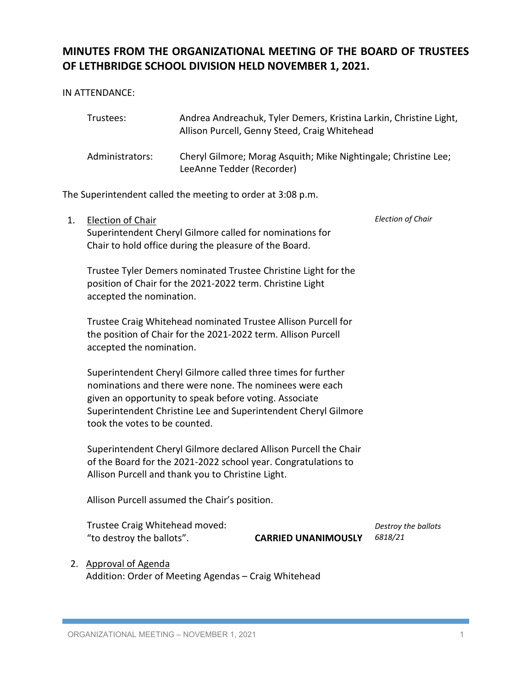# **MINUTES FROM THE ORGANIZATIONAL MEETING OF THE BOARD OF TRUSTEES OF LETHBRIDGE SCHOOL DIVISION HELD NOVEMBER 1, 2021.**

IN ATTENDANCE:

| Trustees:       | Andrea Andreachuk, Tyler Demers, Kristina Larkin, Christine Light,<br>Allison Purcell, Genny Steed, Craig Whitehead |
|-----------------|---------------------------------------------------------------------------------------------------------------------|
| Administrators: | Cheryl Gilmore; Morag Asquith; Mike Nightingale; Christine Lee;<br>LeeAnne Tedder (Recorder)                        |

The Superintendent called the meeting to order at 3:08 p.m.

1. Election of Chair Superintendent Cheryl Gilmore called for nominations for Chair to hold office during the pleasure of the Board. *Election of Chair*

Trustee Tyler Demers nominated Trustee Christine Light for the position of Chair for the 2021-2022 term. Christine Light accepted the nomination.

Trustee Craig Whitehead nominated Trustee Allison Purcell for the position of Chair for the 2021-2022 term. Allison Purcell accepted the nomination.

Superintendent Cheryl Gilmore called three times for further nominations and there were none. The nominees were each given an opportunity to speak before voting. Associate Superintendent Christine Lee and Superintendent Cheryl Gilmore took the votes to be counted.

Superintendent Cheryl Gilmore declared Allison Purcell the Chair of the Board for the 2021-2022 school year. Congratulations to Allison Purcell and thank you to Christine Light.

Allison Purcell assumed the Chair's position.

Trustee Craig Whitehead moved: "to destroy the ballots". **CARRIED UNANIMOUSLY** *6818/21*

*Destroy the ballots*

2. Approval of Agenda

Addition: Order of Meeting Agendas – Craig Whitehead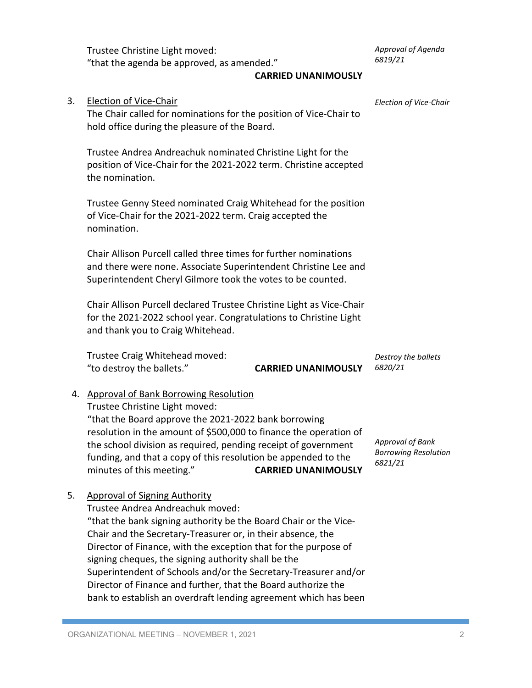Trustee Christine Light moved: "that the agenda be approved, as amended."

*Approval of Agenda 6819/21*

# **CARRIED UNANIMOUSLY**

| 3. | Election of Vice-Chair<br>The Chair called for nominations for the position of Vice-Chair to<br>hold office during the pleasure of the Board.                                                                                                                                                                                                                                                                                                                                                                                                | Election of Vice-Chair                                            |
|----|----------------------------------------------------------------------------------------------------------------------------------------------------------------------------------------------------------------------------------------------------------------------------------------------------------------------------------------------------------------------------------------------------------------------------------------------------------------------------------------------------------------------------------------------|-------------------------------------------------------------------|
|    | Trustee Andrea Andreachuk nominated Christine Light for the<br>position of Vice-Chair for the 2021-2022 term. Christine accepted<br>the nomination.                                                                                                                                                                                                                                                                                                                                                                                          |                                                                   |
|    | Trustee Genny Steed nominated Craig Whitehead for the position<br>of Vice-Chair for the 2021-2022 term. Craig accepted the<br>nomination.                                                                                                                                                                                                                                                                                                                                                                                                    |                                                                   |
|    | Chair Allison Purcell called three times for further nominations<br>and there were none. Associate Superintendent Christine Lee and<br>Superintendent Cheryl Gilmore took the votes to be counted.                                                                                                                                                                                                                                                                                                                                           |                                                                   |
|    | Chair Allison Purcell declared Trustee Christine Light as Vice-Chair<br>for the 2021-2022 school year. Congratulations to Christine Light<br>and thank you to Craig Whitehead.                                                                                                                                                                                                                                                                                                                                                               |                                                                   |
|    | Trustee Craig Whitehead moved:<br>"to destroy the ballets."<br><b>CARRIED UNANIMOUSLY</b>                                                                                                                                                                                                                                                                                                                                                                                                                                                    | Destroy the ballets<br>6820/21                                    |
|    | 4. Approval of Bank Borrowing Resolution<br>Trustee Christine Light moved:<br>"that the Board approve the 2021-2022 bank borrowing<br>resolution in the amount of \$500,000 to finance the operation of<br>the school division as required, pending receipt of government<br>funding, and that a copy of this resolution be appended to the<br>minutes of this meeting."<br><b>CARRIED UNANIMOUSLY</b>                                                                                                                                       | <b>Approval of Bank</b><br><b>Borrowing Resolution</b><br>6821/21 |
| 5. | <b>Approval of Signing Authority</b><br>Trustee Andrea Andreachuk moved:<br>"that the bank signing authority be the Board Chair or the Vice-<br>Chair and the Secretary-Treasurer or, in their absence, the<br>Director of Finance, with the exception that for the purpose of<br>signing cheques, the signing authority shall be the<br>Superintendent of Schools and/or the Secretary-Treasurer and/or<br>Director of Finance and further, that the Board authorize the<br>bank to establish an overdraft lending agreement which has been |                                                                   |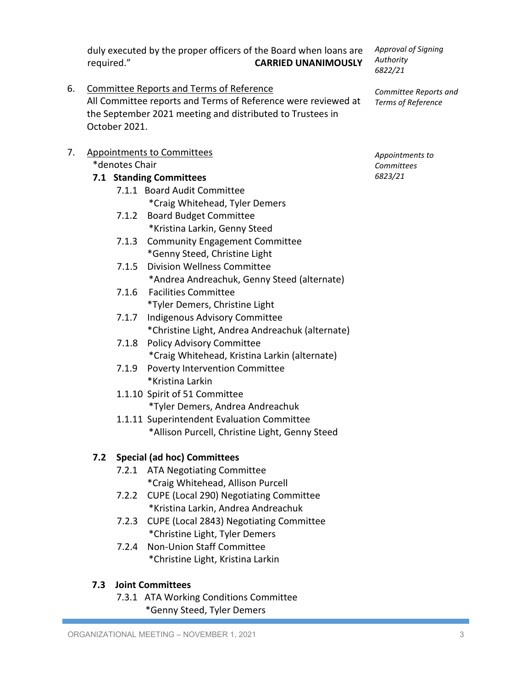duly executed by the proper officers of the Board when loans are required." **CARRIED UNANIMOUSLY**

- 6. Committee Reports and Terms of Reference All Committee reports and Terms of Reference were reviewed at the September 2021 meeting and distributed to Trustees in October 2021.
- 7. Appointments to Committees \*denotes Chair

#### **7.1 Standing Committees**

- 7.1.1 Board Audit Committee \*Craig Whitehead, Tyler Demers
- 7.1.2 Board Budget Committee \*Kristina Larkin, Genny Steed
- 7.1.3 Community Engagement Committee \*Genny Steed, Christine Light
- 7.1.5 Division Wellness Committee \*Andrea Andreachuk, Genny Steed (alternate)
- 7.1.6 Facilities Committee \*Tyler Demers, Christine Light
- 7.1.7 Indigenous Advisory Committee \*Christine Light, Andrea Andreachuk (alternate)
- 7.1.8 Policy Advisory Committee \*Craig Whitehead, Kristina Larkin (alternate)
- 7.1.9 Poverty Intervention Committee \*Kristina Larkin
- 1.1.10 Spirit of 51 Committee \*Tyler Demers, Andrea Andreachuk
- 1.1.11 Superintendent Evaluation Committee \*Allison Purcell, Christine Light, Genny Steed

## **7.2 Special (ad hoc) Committees**

- 7.2.1 ATA Negotiating Committee \*Craig Whitehead, Allison Purcell
- 7.2.2 CUPE (Local 290) Negotiating Committee \*Kristina Larkin, Andrea Andreachuk
- 7.2.3 CUPE (Local 2843) Negotiating Committee \*Christine Light, Tyler Demers
- 7.2.4 Non-Union Staff Committee \*Christine Light, Kristina Larkin

## **7.3 Joint Committees**

7.3.1 ATA Working Conditions Committee \*Genny Steed, Tyler Demers

*Approval of Signing Authority 6822/21*

*Committee Reports and Terms of Reference*

*Appointments to Committees 6823/21*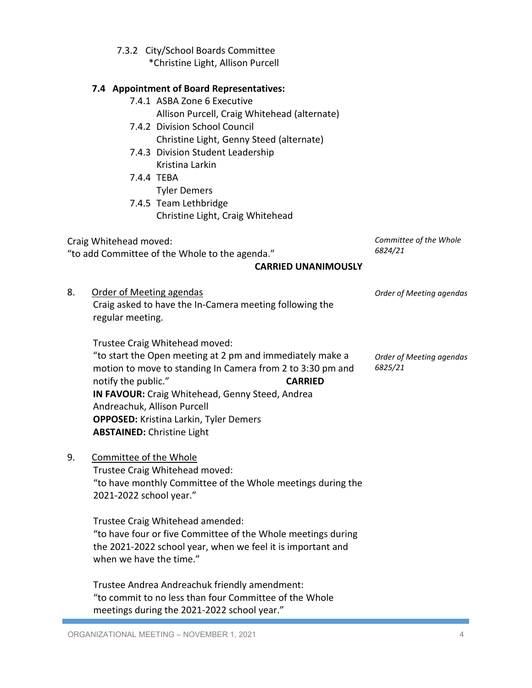|    | 7.3.2 City/School Boards Committee<br>*Christine Light, Allison Purcell                                                                                                                                                                                                                                                                                                    |                                     |
|----|----------------------------------------------------------------------------------------------------------------------------------------------------------------------------------------------------------------------------------------------------------------------------------------------------------------------------------------------------------------------------|-------------------------------------|
|    | 7.4 Appointment of Board Representatives:<br>7.4.1 ASBA Zone 6 Executive<br>Allison Purcell, Craig Whitehead (alternate)<br>7.4.2 Division School Council                                                                                                                                                                                                                  |                                     |
|    | Christine Light, Genny Steed (alternate)<br>7.4.3 Division Student Leadership<br>Kristina Larkin                                                                                                                                                                                                                                                                           |                                     |
|    | 7.4.4 TEBA<br><b>Tyler Demers</b><br>7.4.5 Team Lethbridge                                                                                                                                                                                                                                                                                                                 |                                     |
|    | Christine Light, Craig Whitehead                                                                                                                                                                                                                                                                                                                                           |                                     |
|    | Craig Whitehead moved:<br>"to add Committee of the Whole to the agenda."<br><b>CARRIED UNANIMOUSLY</b>                                                                                                                                                                                                                                                                     | Committee of the Whole<br>6824/21   |
| 8. | Order of Meeting agendas<br>Craig asked to have the In-Camera meeting following the<br>regular meeting.                                                                                                                                                                                                                                                                    | Order of Meeting agendas            |
|    | Trustee Craig Whitehead moved:<br>"to start the Open meeting at 2 pm and immediately make a<br>motion to move to standing In Camera from 2 to 3:30 pm and<br>notify the public."<br><b>CARRIED</b><br>IN FAVOUR: Craig Whitehead, Genny Steed, Andrea<br>Andreachuk, Allison Purcell<br><b>OPPOSED:</b> Kristina Larkin, Tyler Demers<br><b>ABSTAINED: Christine Light</b> | Order of Meeting agendas<br>6825/21 |
| 9. | Committee of the Whole<br>Trustee Craig Whitehead moved:<br>"to have monthly Committee of the Whole meetings during the<br>2021-2022 school year."                                                                                                                                                                                                                         |                                     |
|    | Trustee Craig Whitehead amended:<br>"to have four or five Committee of the Whole meetings during<br>the 2021-2022 school year, when we feel it is important and<br>when we have the time."                                                                                                                                                                                 |                                     |
|    | Trustee Andrea Andreachuk friendly amendment:<br>"to commit to no less than four Committee of the Whole                                                                                                                                                                                                                                                                    |                                     |

meetings during the 2021-2022 school year."